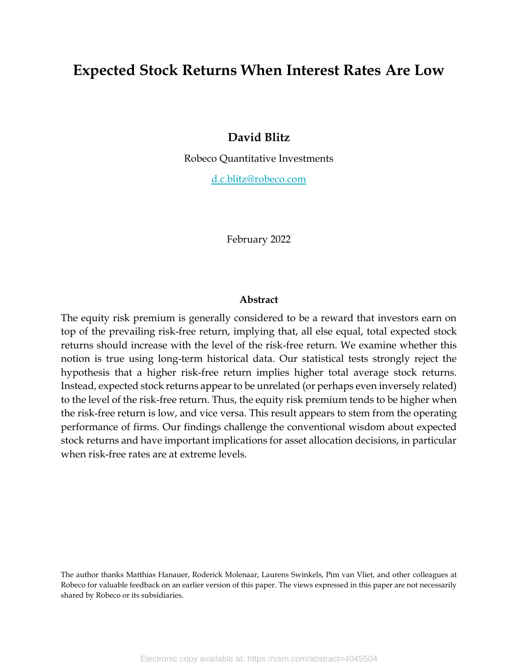# **Expected Stock Returns When Interest Rates Are Low**

## **David Blitz**

Robeco Quantitative Investments

[d.c.blitz@robeco.com](mailto:d.c.blitz@robeco.com)

February 2022

#### **Abstract**

The equity risk premium is generally considered to be a reward that investors earn on top of the prevailing risk-free return, implying that, all else equal, total expected stock returns should increase with the level of the risk-free return. We examine whether this notion is true using long-term historical data. Our statistical tests strongly reject the hypothesis that a higher risk-free return implies higher total average stock returns. Instead, expected stock returns appear to be unrelated (or perhaps even inversely related) to the level of the risk-free return. Thus, the equity risk premium tends to be higher when the risk-free return is low, and vice versa. This result appears to stem from the operating performance of firms. Our findings challenge the conventional wisdom about expected stock returns and have important implications for asset allocation decisions, in particular when risk-free rates are at extreme levels.

The author thanks Matthias Hanauer, Roderick Molenaar, Laurens Swinkels, Pim van Vliet, and other colleagues at Robeco for valuable feedback on an earlier version of this paper. The views expressed in this paper are not necessarily shared by Robeco or its subsidiaries.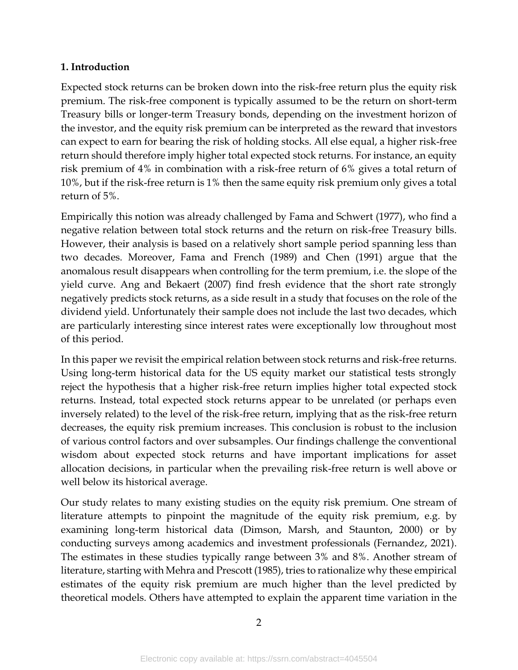### **1. Introduction**

Expected stock returns can be broken down into the risk-free return plus the equity risk premium. The risk-free component is typically assumed to be the return on short-term Treasury bills or longer-term Treasury bonds, depending on the investment horizon of the investor, and the equity risk premium can be interpreted as the reward that investors can expect to earn for bearing the risk of holding stocks. All else equal, a higher risk-free return should therefore imply higher total expected stock returns. For instance, an equity risk premium of 4% in combination with a risk-free return of 6% gives a total return of 10%, but if the risk-free return is 1% then the same equity risk premium only gives a total return of 5%.

Empirically this notion was already challenged by Fama and Schwert (1977), who find a negative relation between total stock returns and the return on risk-free Treasury bills. However, their analysis is based on a relatively short sample period spanning less than two decades. Moreover, Fama and French (1989) and Chen (1991) argue that the anomalous result disappears when controlling for the term premium, i.e. the slope of the yield curve. Ang and Bekaert (2007) find fresh evidence that the short rate strongly negatively predicts stock returns, as a side result in a study that focuses on the role of the dividend yield. Unfortunately their sample does not include the last two decades, which are particularly interesting since interest rates were exceptionally low throughout most of this period.

In this paper we revisit the empirical relation between stock returns and risk-free returns. Using long-term historical data for the US equity market our statistical tests strongly reject the hypothesis that a higher risk-free return implies higher total expected stock returns. Instead, total expected stock returns appear to be unrelated (or perhaps even inversely related) to the level of the risk-free return, implying that as the risk-free return decreases, the equity risk premium increases. This conclusion is robust to the inclusion of various control factors and over subsamples. Our findings challenge the conventional wisdom about expected stock returns and have important implications for asset allocation decisions, in particular when the prevailing risk-free return is well above or well below its historical average.

Our study relates to many existing studies on the equity risk premium. One stream of literature attempts to pinpoint the magnitude of the equity risk premium, e.g. by examining long-term historical data (Dimson, Marsh, and Staunton, 2000) or by conducting surveys among academics and investment professionals (Fernandez, 2021). The estimates in these studies typically range between 3% and 8%. Another stream of literature, starting with Mehra and Prescott (1985), tries to rationalize why these empirical estimates of the equity risk premium are much higher than the level predicted by theoretical models. Others have attempted to explain the apparent time variation in the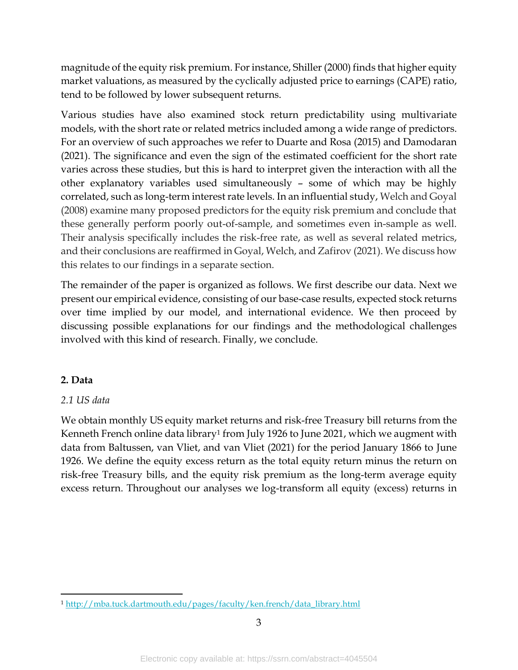magnitude of the equity risk premium. For instance, Shiller (2000) finds that higher equity market valuations, as measured by the cyclically adjusted price to earnings (CAPE) ratio, tend to be followed by lower subsequent returns.

Various studies have also examined stock return predictability using multivariate models, with the short rate or related metrics included among a wide range of predictors. For an overview of such approaches we refer to Duarte and Rosa (2015) and Damodaran (2021). The significance and even the sign of the estimated coefficient for the short rate varies across these studies, but this is hard to interpret given the interaction with all the other explanatory variables used simultaneously – some of which may be highly correlated, such as long-term interest rate levels. In an influential study, Welch and Goyal (2008) examine many proposed predictors for the equity risk premium and conclude that these generally perform poorly out-of-sample, and sometimes even in-sample as well. Their analysis specifically includes the risk-free rate, as well as several related metrics, and their conclusions are reaffirmed in Goyal, Welch, and Zafirov (2021). We discuss how this relates to our findings in a separate section.

The remainder of the paper is organized as follows. We first describe our data. Next we present our empirical evidence, consisting of our base-case results, expected stock returns over time implied by our model, and international evidence. We then proceed by discussing possible explanations for our findings and the methodological challenges involved with this kind of research. Finally, we conclude.

## **2. Data**

## *2.1 US data*

We obtain monthly US equity market returns and risk-free Treasury bill returns from the Kenneth French online data library<sup>1</sup> from July 1926 to June 2021, which we augment with data from Baltussen, van Vliet, and van Vliet (2021) for the period January 1866 to June 1926. We define the equity excess return as the total equity return minus the return on risk-free Treasury bills, and the equity risk premium as the long-term average equity excess return. Throughout our analyses we log-transform all equity (excess) returns in

<sup>1</sup> [http://mba.tuck.dartmouth.edu/pages/faculty/ken.french/data\\_library.html](http://mba.tuck.dartmouth.edu/pages/faculty/ken.french/data_library.html)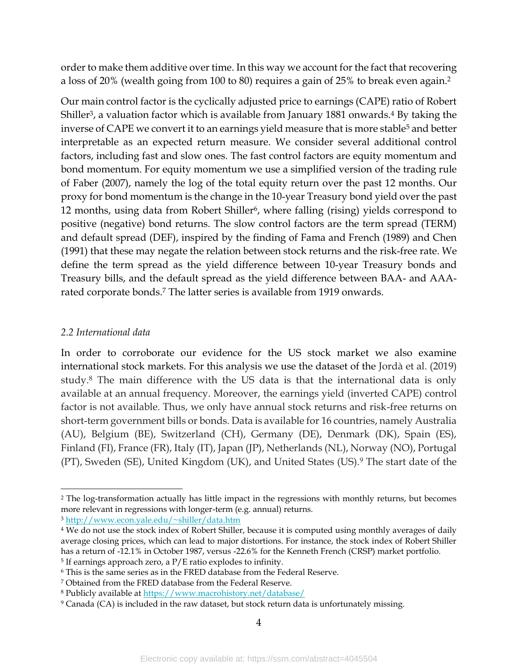order to make them additive over time. In this way we account for the fact that recovering a loss of 20% (wealth going from 100 to 80) requires a gain of 25% to break even again. 2

Our main control factor is the cyclically adjusted price to earnings (CAPE) ratio of Robert Shiller<sup>3</sup>, a valuation factor which is available from January 1881 onwards.<sup>4</sup> By taking the inverse of CAPE we convert it to an earnings yield measure that is more stable<sup>5</sup> and better interpretable as an expected return measure. We consider several additional control factors, including fast and slow ones. The fast control factors are equity momentum and bond momentum. For equity momentum we use a simplified version of the trading rule of Faber (2007), namely the log of the total equity return over the past 12 months. Our proxy for bond momentum is the change in the 10-year Treasury bond yield over the past 12 months, using data from Robert Shiller<sup>6</sup>, where falling (rising) yields correspond to positive (negative) bond returns. The slow control factors are the term spread (TERM) and default spread (DEF), inspired by the finding of Fama and French (1989) and Chen (1991) that these may negate the relation between stock returns and the risk-free rate. We define the term spread as the yield difference between 10-year Treasury bonds and Treasury bills, and the default spread as the yield difference between BAA- and AAArated corporate bonds. <sup>7</sup> The latter series is available from 1919 onwards.

#### *2.2 International data*

In order to corroborate our evidence for the US stock market we also examine international stock markets. For this analysis we use the dataset of the Jordà et al. (2019) study.<sup>8</sup> The main difference with the US data is that the international data is only available at an annual frequency. Moreover, the earnings yield (inverted CAPE) control factor is not available. Thus, we only have annual stock returns and risk-free returns on short-term government bills or bonds. Data is available for 16 countries, namely Australia (AU), Belgium (BE), Switzerland (CH), Germany (DE), Denmark (DK), Spain (ES), Finland (FI), France (FR), Italy (IT), Japan (JP), Netherlands (NL), Norway (NO), Portugal (PT), Sweden (SE), United Kingdom (UK), and United States (US).<sup>9</sup> The start date of the

<sup>2</sup> The log-transformation actually has little impact in the regressions with monthly returns, but becomes more relevant in regressions with longer-term (e.g. annual) returns.

<sup>3</sup> <http://www.econ.yale.edu/~shiller/data.htm>

<sup>&</sup>lt;sup>4</sup> We do not use the stock index of Robert Shiller, because it is computed using monthly averages of daily average closing prices, which can lead to major distortions. For instance, the stock index of Robert Shiller has a return of -12.1% in October 1987, versus -22.6% for the Kenneth French (CRSP) market portfolio.

<sup>5</sup> If earnings approach zero, a P/E ratio explodes to infinity.

<sup>6</sup> This is the same series as in the FRED database from the Federal Reserve.

<sup>7</sup> Obtained from the FRED database from the Federal Reserve.

<sup>8</sup> Publicly available at<https://www.macrohistory.net/database/>

<sup>&</sup>lt;sup>9</sup> Canada (CA) is included in the raw dataset, but stock return data is unfortunately missing.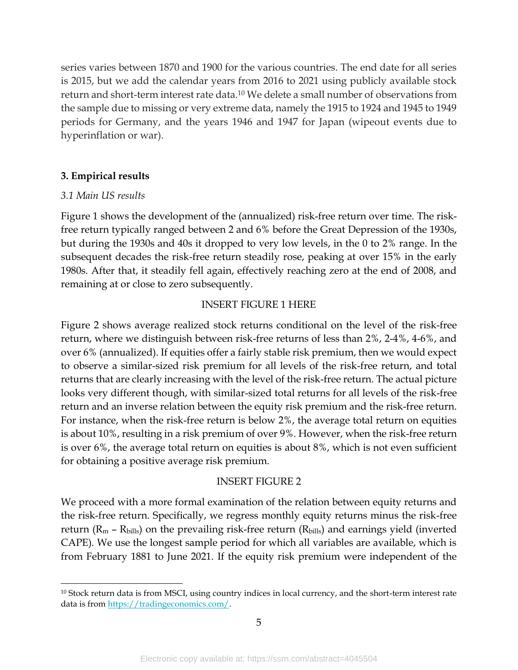series varies between 1870 and 1900 for the various countries. The end date for all series is 2015, but we add the calendar years from 2016 to 2021 using publicly available stock return and short-term interest rate data.<sup>10</sup> We delete a small number of observations from the sample due to missing or very extreme data, namely the 1915 to 1924 and 1945 to 1949 periods for Germany, and the years 1946 and 1947 for Japan (wipeout events due to hyperinflation or war).

#### **3. Empirical results**

#### *3.1 Main US results*

Figure 1 shows the development of the (annualized) risk-free return over time. The riskfree return typically ranged between 2 and 6% before the Great Depression of the 1930s, but during the 1930s and 40s it dropped to very low levels, in the 0 to 2% range. In the subsequent decades the risk-free return steadily rose, peaking at over 15% in the early 1980s. After that, it steadily fell again, effectively reaching zero at the end of 2008, and remaining at or close to zero subsequently.

#### INSERT FIGURE 1 HERE

Figure 2 shows average realized stock returns conditional on the level of the risk-free return, where we distinguish between risk-free returns of less than 2%, 2-4%, 4-6%, and over 6% (annualized). If equities offer a fairly stable risk premium, then we would expect to observe a similar-sized risk premium for all levels of the risk-free return, and total returns that are clearly increasing with the level of the risk-free return. The actual picture looks very different though, with similar-sized total returns for all levels of the risk-free return and an inverse relation between the equity risk premium and the risk-free return. For instance, when the risk-free return is below 2%, the average total return on equities is about 10%, resulting in a risk premium of over 9%. However, when the risk-free return is over 6%, the average total return on equities is about 8%, which is not even sufficient for obtaining a positive average risk premium.

#### INSERT FIGURE 2

We proceed with a more formal examination of the relation between equity returns and the risk-free return. Specifically, we regress monthly equity returns minus the risk-free return ( $R_m$  –  $R_{\text{bills}}$ ) on the prevailing risk-free return ( $R_{\text{bills}}$ ) and earnings yield (inverted CAPE). We use the longest sample period for which all variables are available, which is from February 1881 to June 2021. If the equity risk premium were independent of the

<sup>10</sup> Stock return data is from MSCI, using country indices in local currency, and the short-term interest rate data is fro[m https://tradingeconomics.com/.](https://tradingeconomics.com/)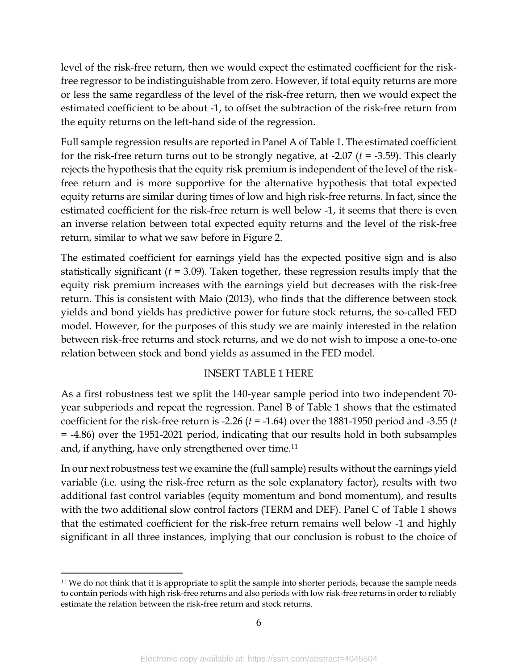level of the risk-free return, then we would expect the estimated coefficient for the riskfree regressor to be indistinguishable from zero. However, if total equity returns are more or less the same regardless of the level of the risk-free return, then we would expect the estimated coefficient to be about -1, to offset the subtraction of the risk-free return from the equity returns on the left-hand side of the regression.

Full sample regression results are reported in Panel A of Table 1. The estimated coefficient for the risk-free return turns out to be strongly negative, at -2.07 (*t* = -3.59). This clearly rejects the hypothesis that the equity risk premium is independent of the level of the riskfree return and is more supportive for the alternative hypothesis that total expected equity returns are similar during times of low and high risk-free returns. In fact, since the estimated coefficient for the risk-free return is well below -1, it seems that there is even an inverse relation between total expected equity returns and the level of the risk-free return, similar to what we saw before in Figure 2.

The estimated coefficient for earnings yield has the expected positive sign and is also statistically significant (*t* = 3.09). Taken together, these regression results imply that the equity risk premium increases with the earnings yield but decreases with the risk-free return. This is consistent with Maio (2013), who finds that the difference between stock yields and bond yields has predictive power for future stock returns, the so-called FED model. However, for the purposes of this study we are mainly interested in the relation between risk-free returns and stock returns, and we do not wish to impose a one-to-one relation between stock and bond yields as assumed in the FED model.

#### INSERT TABLE 1 HERE

As a first robustness test we split the 140-year sample period into two independent 70 year subperiods and repeat the regression. Panel B of Table 1 shows that the estimated coefficient for the risk-free return is -2.26 (*t* = -1.64) over the 1881-1950 period and -3.55 (*t* = -4.86) over the 1951-2021 period, indicating that our results hold in both subsamples and, if anything, have only strengthened over time.<sup>11</sup>

In our next robustness test we examine the (full sample) results without the earnings yield variable (i.e. using the risk-free return as the sole explanatory factor), results with two additional fast control variables (equity momentum and bond momentum), and results with the two additional slow control factors (TERM and DEF). Panel C of Table 1 shows that the estimated coefficient for the risk-free return remains well below -1 and highly significant in all three instances, implying that our conclusion is robust to the choice of

<sup>11</sup> We do not think that it is appropriate to split the sample into shorter periods, because the sample needs to contain periods with high risk-free returns and also periods with low risk-free returns in order to reliably estimate the relation between the risk-free return and stock returns.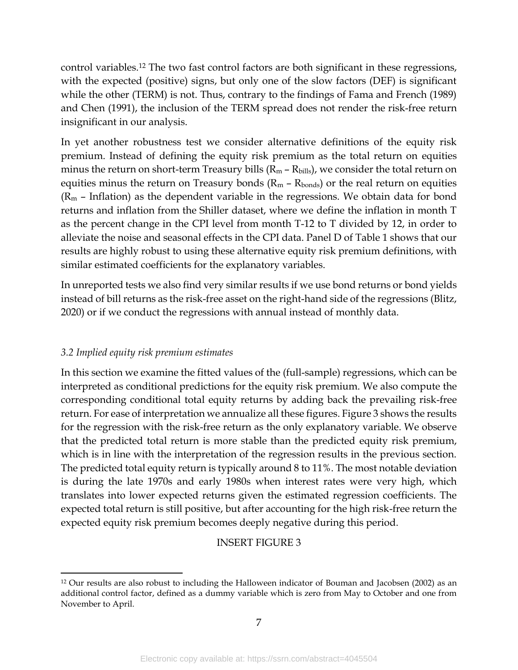control variables.<sup>12</sup> The two fast control factors are both significant in these regressions, with the expected (positive) signs, but only one of the slow factors (DEF) is significant while the other (TERM) is not. Thus, contrary to the findings of Fama and French (1989) and Chen (1991), the inclusion of the TERM spread does not render the risk-free return insignificant in our analysis.

In yet another robustness test we consider alternative definitions of the equity risk premium. Instead of defining the equity risk premium as the total return on equities minus the return on short-term Treasury bills  $(R_m - R_{\text{bills}})$ , we consider the total return on equities minus the return on Treasury bonds ( $R_m$  –  $R_{bonds}$ ) or the real return on equities  $(R_m$  – Inflation) as the dependent variable in the regressions. We obtain data for bond returns and inflation from the Shiller dataset, where we define the inflation in month T as the percent change in the CPI level from month T-12 to T divided by 12, in order to alleviate the noise and seasonal effects in the CPI data. Panel D of Table 1 shows that our results are highly robust to using these alternative equity risk premium definitions, with similar estimated coefficients for the explanatory variables.

In unreported tests we also find very similar results if we use bond returns or bond yields instead of bill returns as the risk-free asset on the right-hand side of the regressions (Blitz, 2020) or if we conduct the regressions with annual instead of monthly data.

### *3.2 Implied equity risk premium estimates*

In this section we examine the fitted values of the (full-sample) regressions, which can be interpreted as conditional predictions for the equity risk premium. We also compute the corresponding conditional total equity returns by adding back the prevailing risk-free return. For ease of interpretation we annualize all these figures. Figure 3 shows the results for the regression with the risk-free return as the only explanatory variable. We observe that the predicted total return is more stable than the predicted equity risk premium, which is in line with the interpretation of the regression results in the previous section. The predicted total equity return is typically around 8 to 11%. The most notable deviation is during the late 1970s and early 1980s when interest rates were very high, which translates into lower expected returns given the estimated regression coefficients. The expected total return is still positive, but after accounting for the high risk-free return the expected equity risk premium becomes deeply negative during this period.

#### INSERT FIGURE 3

<sup>12</sup> Our results are also robust to including the Halloween indicator of Bouman and Jacobsen (2002) as an additional control factor, defined as a dummy variable which is zero from May to October and one from November to April.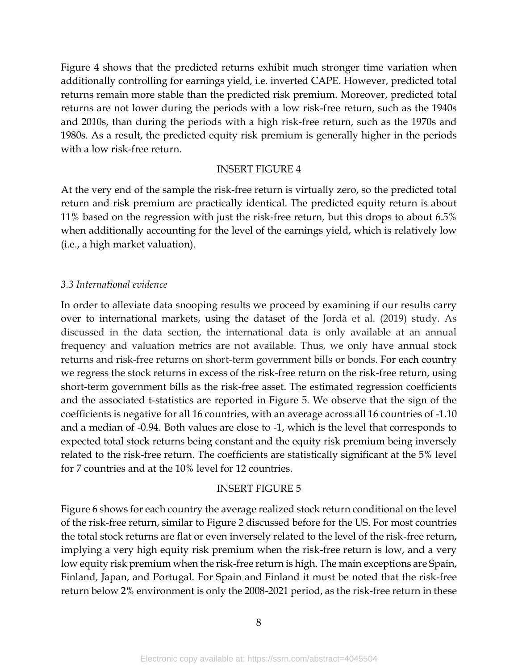Figure 4 shows that the predicted returns exhibit much stronger time variation when additionally controlling for earnings yield, i.e. inverted CAPE. However, predicted total returns remain more stable than the predicted risk premium. Moreover, predicted total returns are not lower during the periods with a low risk-free return, such as the 1940s and 2010s, than during the periods with a high risk-free return, such as the 1970s and 1980s. As a result, the predicted equity risk premium is generally higher in the periods with a low risk-free return.

#### INSERT FIGURE 4

At the very end of the sample the risk-free return is virtually zero, so the predicted total return and risk premium are practically identical. The predicted equity return is about 11% based on the regression with just the risk-free return, but this drops to about 6.5% when additionally accounting for the level of the earnings yield, which is relatively low (i.e., a high market valuation).

#### *3.3 International evidence*

In order to alleviate data snooping results we proceed by examining if our results carry over to international markets, using the dataset of the Jordà et al. (2019) study. As discussed in the data section, the international data is only available at an annual frequency and valuation metrics are not available. Thus, we only have annual stock returns and risk-free returns on short-term government bills or bonds. For each country we regress the stock returns in excess of the risk-free return on the risk-free return, using short-term government bills as the risk-free asset. The estimated regression coefficients and the associated t-statistics are reported in Figure 5. We observe that the sign of the coefficients is negative for all 16 countries, with an average across all 16 countries of -1.10 and a median of -0.94. Both values are close to -1, which is the level that corresponds to expected total stock returns being constant and the equity risk premium being inversely related to the risk-free return. The coefficients are statistically significant at the 5% level for 7 countries and at the 10% level for 12 countries.

#### INSERT FIGURE 5

Figure 6 shows for each country the average realized stock return conditional on the level of the risk-free return, similar to Figure 2 discussed before for the US. For most countries the total stock returns are flat or even inversely related to the level of the risk-free return, implying a very high equity risk premium when the risk-free return is low, and a very low equity risk premium when the risk-free return is high. The main exceptions are Spain, Finland, Japan, and Portugal. For Spain and Finland it must be noted that the risk-free return below 2% environment is only the 2008-2021 period, as the risk-free return in these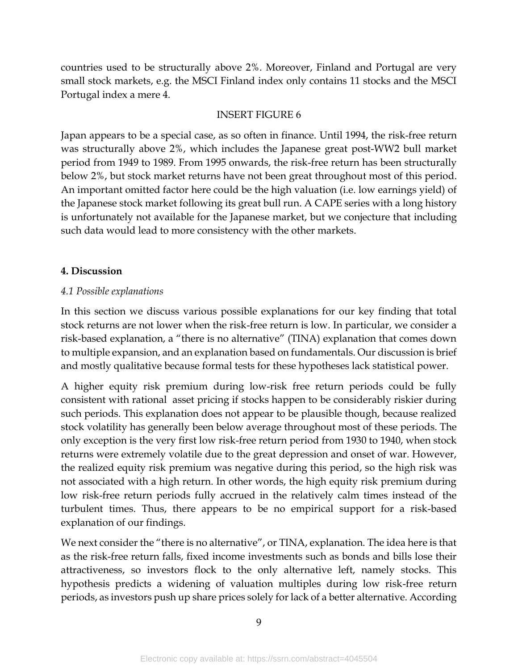countries used to be structurally above 2%. Moreover, Finland and Portugal are very small stock markets, e.g. the MSCI Finland index only contains 11 stocks and the MSCI Portugal index a mere 4.

### INSERT FIGURE 6

Japan appears to be a special case, as so often in finance. Until 1994, the risk-free return was structurally above 2%, which includes the Japanese great post-WW2 bull market period from 1949 to 1989. From 1995 onwards, the risk-free return has been structurally below 2%, but stock market returns have not been great throughout most of this period. An important omitted factor here could be the high valuation (i.e. low earnings yield) of the Japanese stock market following its great bull run. A CAPE series with a long history is unfortunately not available for the Japanese market, but we conjecture that including such data would lead to more consistency with the other markets.

### **4. Discussion**

### *4.1 Possible explanations*

In this section we discuss various possible explanations for our key finding that total stock returns are not lower when the risk-free return is low. In particular, we consider a risk-based explanation, a "there is no alternative" (TINA) explanation that comes down to multiple expansion, and an explanation based on fundamentals. Our discussion is brief and mostly qualitative because formal tests for these hypotheses lack statistical power.

A higher equity risk premium during low-risk free return periods could be fully consistent with rational asset pricing if stocks happen to be considerably riskier during such periods. This explanation does not appear to be plausible though, because realized stock volatility has generally been below average throughout most of these periods. The only exception is the very first low risk-free return period from 1930 to 1940, when stock returns were extremely volatile due to the great depression and onset of war. However, the realized equity risk premium was negative during this period, so the high risk was not associated with a high return. In other words, the high equity risk premium during low risk-free return periods fully accrued in the relatively calm times instead of the turbulent times. Thus, there appears to be no empirical support for a risk-based explanation of our findings.

We next consider the "there is no alternative", or TINA, explanation. The idea here is that as the risk-free return falls, fixed income investments such as bonds and bills lose their attractiveness, so investors flock to the only alternative left, namely stocks. This hypothesis predicts a widening of valuation multiples during low risk-free return periods, as investors push up share prices solely for lack of a better alternative. According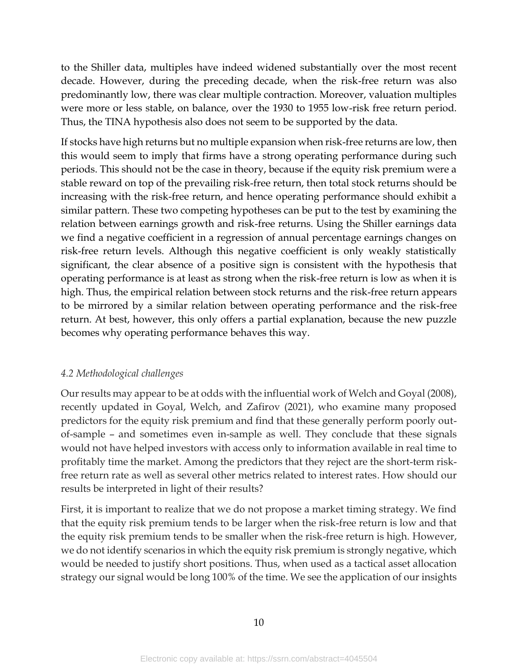to the Shiller data, multiples have indeed widened substantially over the most recent decade. However, during the preceding decade, when the risk-free return was also predominantly low, there was clear multiple contraction. Moreover, valuation multiples were more or less stable, on balance, over the 1930 to 1955 low-risk free return period. Thus, the TINA hypothesis also does not seem to be supported by the data.

If stocks have high returns but no multiple expansion when risk-free returns are low, then this would seem to imply that firms have a strong operating performance during such periods. This should not be the case in theory, because if the equity risk premium were a stable reward on top of the prevailing risk-free return, then total stock returns should be increasing with the risk-free return, and hence operating performance should exhibit a similar pattern. These two competing hypotheses can be put to the test by examining the relation between earnings growth and risk-free returns. Using the Shiller earnings data we find a negative coefficient in a regression of annual percentage earnings changes on risk-free return levels. Although this negative coefficient is only weakly statistically significant, the clear absence of a positive sign is consistent with the hypothesis that operating performance is at least as strong when the risk-free return is low as when it is high. Thus, the empirical relation between stock returns and the risk-free return appears to be mirrored by a similar relation between operating performance and the risk-free return. At best, however, this only offers a partial explanation, because the new puzzle becomes why operating performance behaves this way.

## *4.2 Methodological challenges*

Our results may appear to be at odds with the influential work of Welch and Goyal (2008), recently updated in Goyal, Welch, and Zafirov (2021), who examine many proposed predictors for the equity risk premium and find that these generally perform poorly outof-sample – and sometimes even in-sample as well. They conclude that these signals would not have helped investors with access only to information available in real time to profitably time the market. Among the predictors that they reject are the short-term riskfree return rate as well as several other metrics related to interest rates. How should our results be interpreted in light of their results?

First, it is important to realize that we do not propose a market timing strategy. We find that the equity risk premium tends to be larger when the risk-free return is low and that the equity risk premium tends to be smaller when the risk-free return is high. However, we do not identify scenarios in which the equity risk premium is strongly negative, which would be needed to justify short positions. Thus, when used as a tactical asset allocation strategy our signal would be long 100% of the time. We see the application of our insights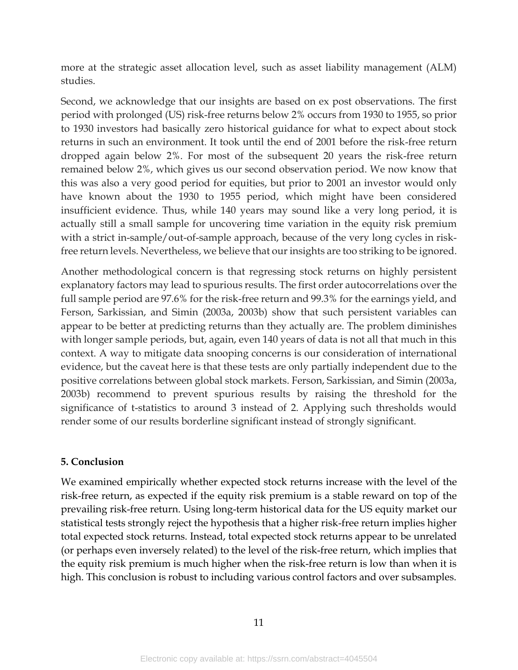more at the strategic asset allocation level, such as asset liability management (ALM) studies.

Second, we acknowledge that our insights are based on ex post observations. The first period with prolonged (US) risk-free returns below 2% occurs from 1930 to 1955, so prior to 1930 investors had basically zero historical guidance for what to expect about stock returns in such an environment. It took until the end of 2001 before the risk-free return dropped again below 2%. For most of the subsequent 20 years the risk-free return remained below 2%, which gives us our second observation period. We now know that this was also a very good period for equities, but prior to 2001 an investor would only have known about the 1930 to 1955 period, which might have been considered insufficient evidence. Thus, while 140 years may sound like a very long period, it is actually still a small sample for uncovering time variation in the equity risk premium with a strict in-sample/out-of-sample approach, because of the very long cycles in riskfree return levels. Nevertheless, we believe that our insights are too striking to be ignored.

Another methodological concern is that regressing stock returns on highly persistent explanatory factors may lead to spurious results. The first order autocorrelations over the full sample period are 97.6% for the risk-free return and 99.3% for the earnings yield, and Ferson, Sarkissian, and Simin (2003a, 2003b) show that such persistent variables can appear to be better at predicting returns than they actually are. The problem diminishes with longer sample periods, but, again, even 140 years of data is not all that much in this context. A way to mitigate data snooping concerns is our consideration of international evidence, but the caveat here is that these tests are only partially independent due to the positive correlations between global stock markets. Ferson, Sarkissian, and Simin (2003a, 2003b) recommend to prevent spurious results by raising the threshold for the significance of t-statistics to around 3 instead of 2. Applying such thresholds would render some of our results borderline significant instead of strongly significant.

### **5. Conclusion**

We examined empirically whether expected stock returns increase with the level of the risk-free return, as expected if the equity risk premium is a stable reward on top of the prevailing risk-free return. Using long-term historical data for the US equity market our statistical tests strongly reject the hypothesis that a higher risk-free return implies higher total expected stock returns. Instead, total expected stock returns appear to be unrelated (or perhaps even inversely related) to the level of the risk-free return, which implies that the equity risk premium is much higher when the risk-free return is low than when it is high. This conclusion is robust to including various control factors and over subsamples.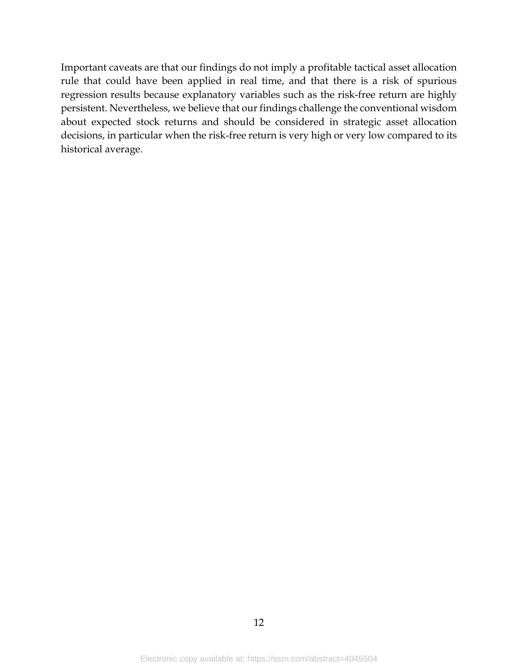Important caveats are that our findings do not imply a profitable tactical asset allocation rule that could have been applied in real time, and that there is a risk of spurious regression results because explanatory variables such as the risk-free return are highly persistent. Nevertheless, we believe that our findings challenge the conventional wisdom about expected stock returns and should be considered in strategic asset allocation decisions, in particular when the risk-free return is very high or very low compared to its historical average.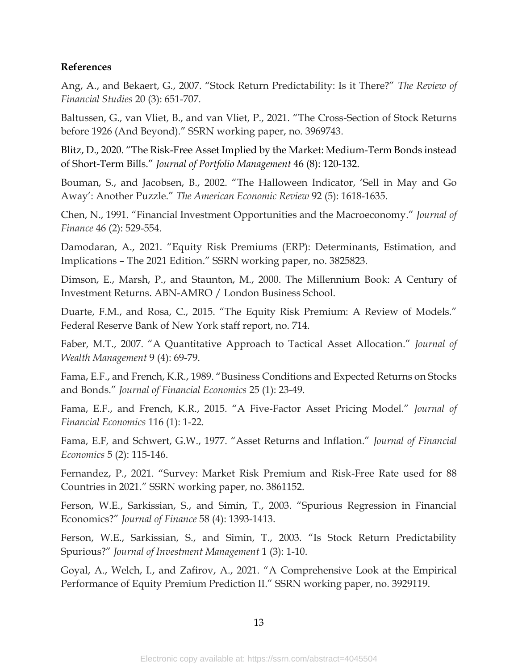#### **References**

Ang, A., and Bekaert, G., 2007. "Stock Return Predictability: Is it There?" *The Review of Financial Studies* 20 (3): 651-707.

Baltussen, G., van Vliet, B., and van Vliet, P., 2021. "The Cross-Section of Stock Returns before 1926 (And Beyond)." SSRN working paper, no. 3969743.

Blitz, D., 2020. "The Risk-Free Asset Implied by the Market: Medium-Term Bonds instead of Short-Term Bills." *Journal of Portfolio Management* 46 (8): 120-132.

Bouman, S., and Jacobsen, B., 2002. "The Halloween Indicator, 'Sell in May and Go Away': Another Puzzle." *The American Economic Review* 92 (5): 1618-1635.

Chen, N., 1991. "Financial Investment Opportunities and the Macroeconomy." *Journal of Finance* 46 (2): 529-554.

Damodaran, A., 2021. "Equity Risk Premiums (ERP): Determinants, Estimation, and Implications – The 2021 Edition." SSRN working paper, no. 3825823.

Dimson, E., Marsh, P., and Staunton, M., 2000. The Millennium Book: A Century of Investment Returns. ABN-AMRO / London Business School.

Duarte, F.M., and Rosa, C., 2015. "The Equity Risk Premium: A Review of Models." Federal Reserve Bank of New York staff report, no. 714.

Faber, M.T., 2007. "A Quantitative Approach to Tactical Asset Allocation." *Journal of Wealth Management* 9 (4): 69-79.

Fama, E.F., and French, K.R., 1989. "Business Conditions and Expected Returns on Stocks and Bonds." *Journal of Financial Economics* 25 (1): 23-49.

Fama, E.F., and French, K.R., 2015. "A Five-Factor Asset Pricing Model." *Journal of Financial Economics* 116 (1): 1-22.

Fama, E.F, and Schwert, G.W., 1977. "Asset Returns and Inflation." *Journal of Financial Economics* 5 (2): 115-146.

Fernandez, P., 2021. "Survey: Market Risk Premium and Risk-Free Rate used for 88 Countries in 2021." SSRN working paper, no. 3861152.

Ferson, W.E., Sarkissian, S., and Simin, T., 2003. "Spurious Regression in Financial Economics?" *Journal of Finance* 58 (4): 1393-1413.

Ferson, W.E., Sarkissian, S., and Simin, T., 2003. "Is Stock Return Predictability Spurious?" *Journal of Investment Management* 1 (3): 1-10.

Goyal, A., Welch, I., and Zafirov, A., 2021. "A Comprehensive Look at the Empirical Performance of Equity Premium Prediction II." SSRN working paper, no. 3929119.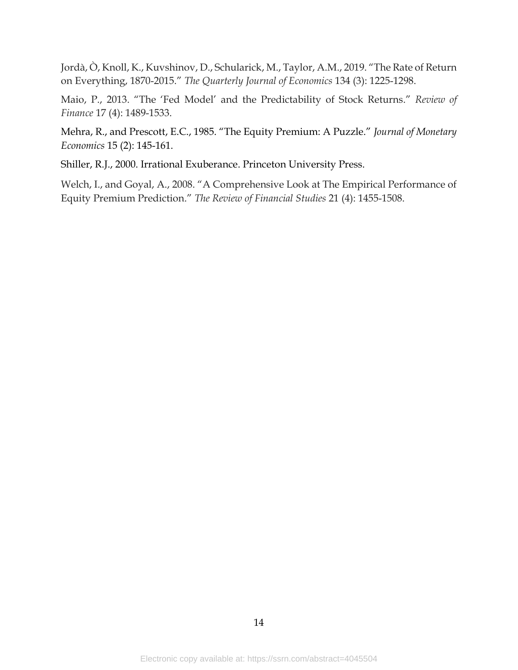Jordà, Ò, Knoll, K., Kuvshinov, D., Schularick, M., Taylor, A.M., 2019. "The Rate of Return on Everything, 1870-2015." *The Quarterly Journal of Economics* 134 (3): 1225-1298.

Maio, P., 2013. "The 'Fed Model' and the Predictability of Stock Returns." *Review of Finance* 17 (4): 1489-1533.

Mehra, R., and Prescott, E.C., 1985. "The Equity Premium: A Puzzle." *Journal of Monetary Economics* 15 (2): 145-161.

Shiller, R.J., 2000. Irrational Exuberance. Princeton University Press.

Welch, I., and Goyal, A., 2008. "A Comprehensive Look at The Empirical Performance of Equity Premium Prediction." *The Review of Financial Studies* 21 (4): 1455-1508.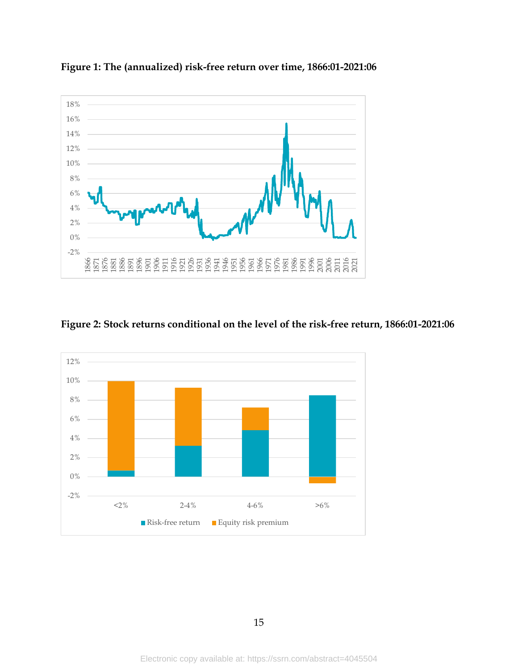

**Figure 1: The (annualized) risk-free return over time, 1866:01-2021:06**

## **Figure 2: Stock returns conditional on the level of the risk-free return, 1866:01-2021:06**

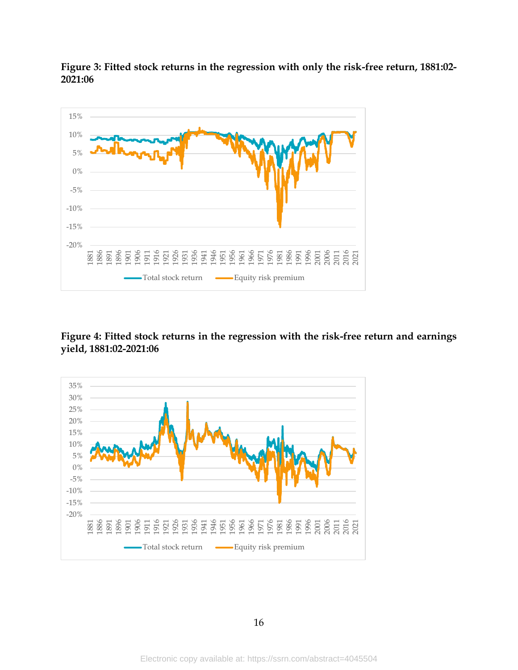

**Figure 3: Fitted stock returns in the regression with only the risk-free return, 1881:02- 2021:06**

## **Figure 4: Fitted stock returns in the regression with the risk-free return and earnings yield, 1881:02-2021:06**

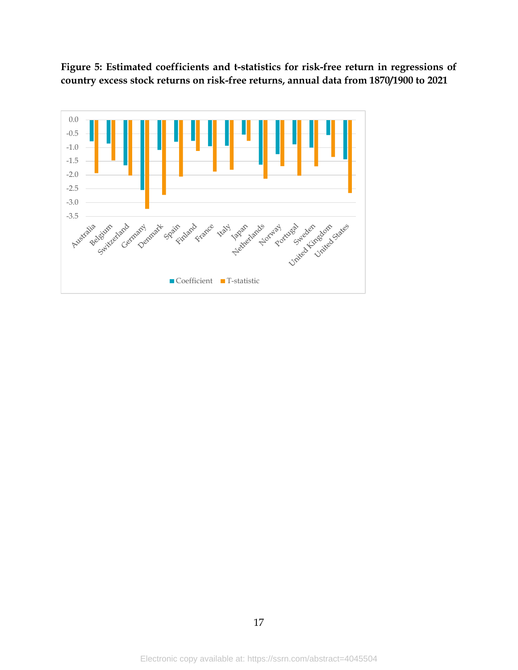**Figure 5: Estimated coefficients and t-statistics for risk-free return in regressions of country excess stock returns on risk-free returns, annual data from 1870/1900 to 2021**

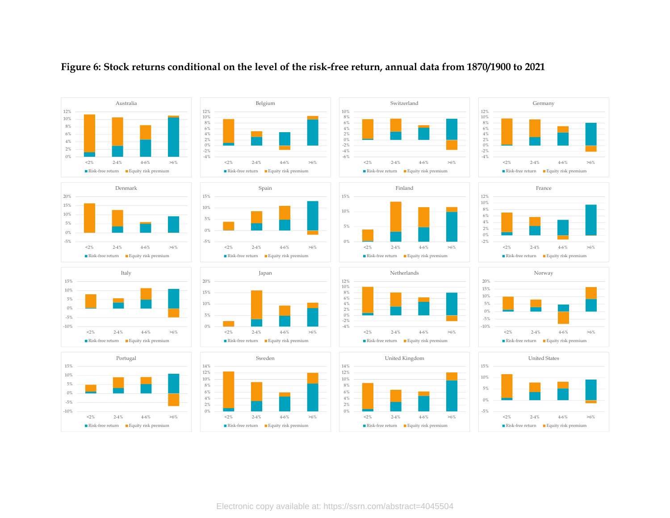

#### **Figure 6: Stock returns conditional on the level of the risk-free return, annual data from 1870/1900 to 2021**